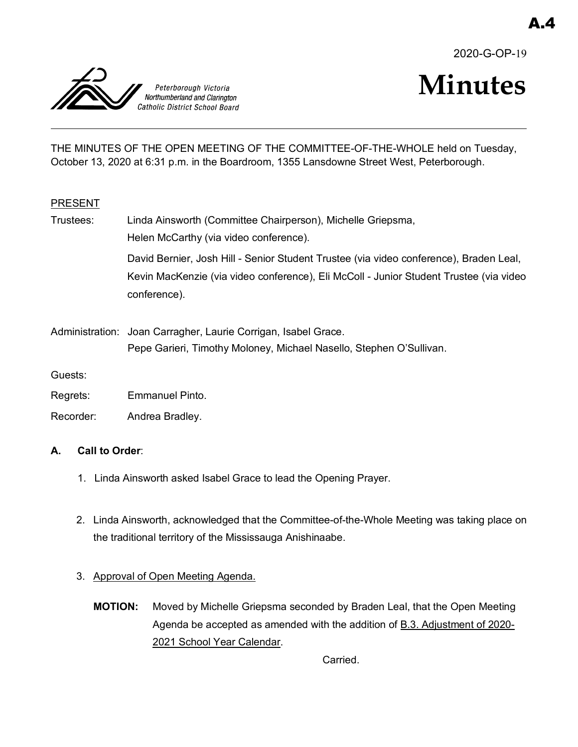2020-G-OP-19



# **Minutes**

THE MINUTES OF THE OPEN MEETING OF THE COMMITTEE-OF-THE-WHOLE held on Tuesday, October 13, 2020 at 6:31 p.m. in the Boardroom, 1355 Lansdowne Street West, Peterborough.

## PRESENT

- Trustees: Linda Ainsworth (Committee Chairperson), Michelle Griepsma, Helen McCarthy (via video conference). David Bernier, Josh Hill - Senior Student Trustee (via video conference), Braden Leal, Kevin MacKenzie (via video conference), Eli McColl - Junior Student Trustee (via video conference).
- Administration: Joan Carragher, Laurie Corrigan, Isabel Grace. Pepe Garieri, Timothy Moloney, Michael Nasello, Stephen O'Sullivan.

Guests:

- Regrets: Emmanuel Pinto.
- Recorder: Andrea Bradley.

## **A. Call to Order**:

- 1. Linda Ainsworth asked Isabel Grace to lead the Opening Prayer.
- 2. Linda Ainsworth, acknowledged that the Committee-of-the-Whole Meeting was taking place on the traditional territory of the Mississauga Anishinaabe.
- 3. Approval of Open Meeting Agenda.
	- **MOTION:** Moved by Michelle Griepsma seconded by Braden Leal, that the Open Meeting Agenda be accepted as amended with the addition of B.3. Adjustment of 2020- 2021 School Year Calendar.

Carried.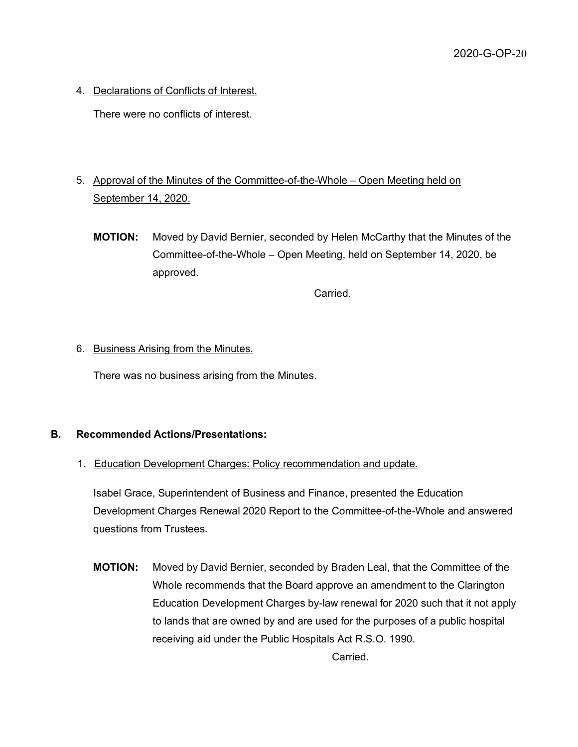4. Declarations of Conflicts of Interest.

There were no conflicts of interest.

- 5. Approval of the Minutes of the Committee-of-the-Whole Open Meeting held on September 14, 2020.
	- **MOTION:** Moved by David Bernier, seconded by Helen McCarthy that the Minutes of the Committee-of-the-Whole – Open Meeting, held on September 14, 2020, be approved.

Carried.

## 6. Business Arising from the Minutes.

There was no business arising from the Minutes.

## **B. Recommended Actions/Presentations:**

1. Education Development Charges: Policy recommendation and update.

Isabel Grace, Superintendent of Business and Finance, presented the Education Development Charges Renewal 2020 Report to the Committee-of-the-Whole and answered questions from Trustees.

**MOTION:** Moved by David Bernier, seconded by Braden Leal, that the Committee of the Whole recommends that the Board approve an amendment to the Clarington Education Development Charges by-law renewal for 2020 such that it not apply to lands that are owned by and are used for the purposes of a public hospital receiving aid under the Public Hospitals Act R.S.O. 1990.

Carried.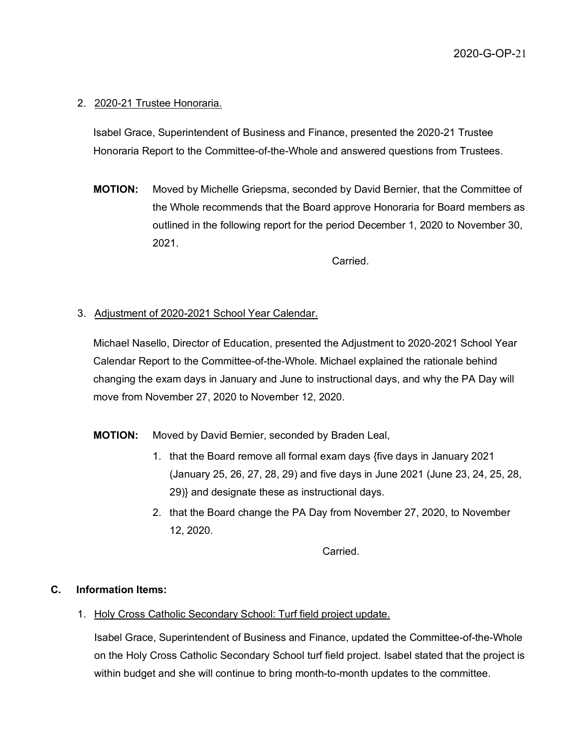### 2. 2020-21 Trustee Honoraria.

Isabel Grace, Superintendent of Business and Finance, presented the 2020-21 Trustee Honoraria Report to the Committee-of-the-Whole and answered questions from Trustees.

**MOTION:** Moved by Michelle Griepsma, seconded by David Bernier, that the Committee of the Whole recommends that the Board approve Honoraria for Board members as outlined in the following report for the period December 1, 2020 to November 30, 2021.

Carried.

#### 3. Adjustment of 2020-2021 School Year Calendar.

Michael Nasello, Director of Education, presented the Adjustment to 2020-2021 School Year Calendar Report to the Committee-of-the-Whole. Michael explained the rationale behind changing the exam days in January and June to instructional days, and why the PA Day will move from November 27, 2020 to November 12, 2020.

#### **MOTION:** Moved by David Bernier, seconded by Braden Leal,

- 1. that the Board remove all formal exam days {five days in January 2021 (January 25, 26, 27, 28, 29) and five days in June 2021 (June 23, 24, 25, 28, 29)} and designate these as instructional days.
- 2. that the Board change the PA Day from November 27, 2020, to November 12, 2020.

Carried.

#### **C. Information Items:**

1. Holy Cross Catholic Secondary School: Turf field project update.

Isabel Grace, Superintendent of Business and Finance, updated the Committee-of-the-Whole on the Holy Cross Catholic Secondary School turf field project. Isabel stated that the project is within budget and she will continue to bring month-to-month updates to the committee.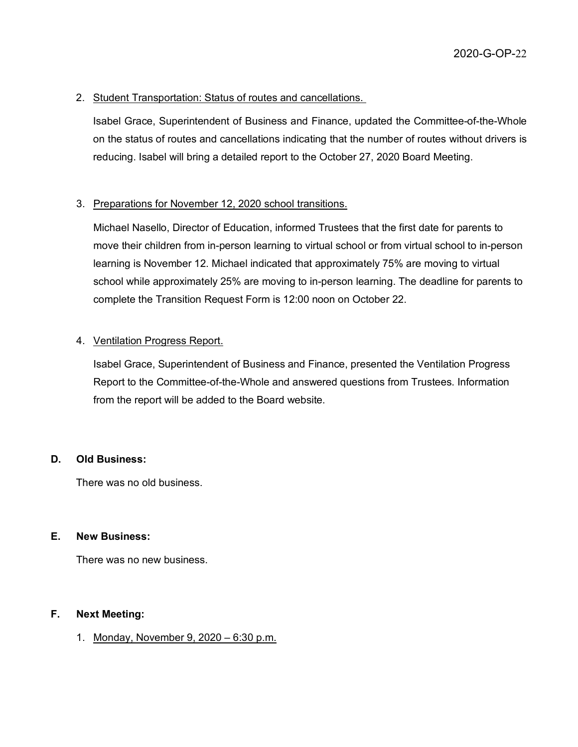## 2. Student Transportation: Status of routes and cancellations.

Isabel Grace, Superintendent of Business and Finance, updated the Committee-of-the-Whole on the status of routes and cancellations indicating that the number of routes without drivers is reducing. Isabel will bring a detailed report to the October 27, 2020 Board Meeting.

## 3. Preparations for November 12, 2020 school transitions.

Michael Nasello, Director of Education, informed Trustees that the first date for parents to move their children from in-person learning to virtual school or from virtual school to in-person learning is November 12. Michael indicated that approximately 75% are moving to virtual school while approximately 25% are moving to in-person learning. The deadline for parents to complete the Transition Request Form is 12:00 noon on October 22.

#### 4. Ventilation Progress Report.

Isabel Grace, Superintendent of Business and Finance, presented the Ventilation Progress Report to the Committee-of-the-Whole and answered questions from Trustees. Information from the report will be added to the Board website.

#### **D. Old Business:**

There was no old business.

#### **E. New Business:**

There was no new business.

## **F. Next Meeting:**

1. Monday, November 9, 2020 – 6:30 p.m.